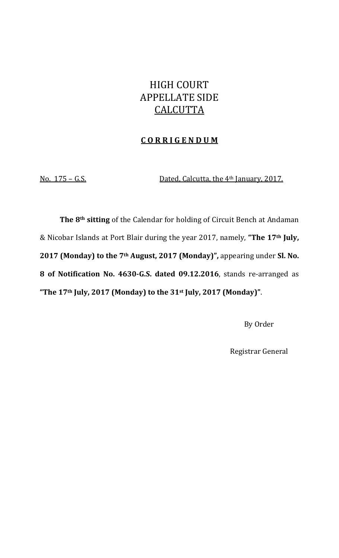# HIGH COURT APPELLATE SIDE **CALCUTTA**

#### **C O R R I G E N D U M**

No. 175 – G.S. Dated, Calcutta, the 4th January, 2017.

**The 8th sitting** of the Calendar for holding of Circuit Bench at Andaman & Nicobar Islands at Port Blair during the year 2017, namely, **"The 17th July, 2017 (Monday) to the 7th August, 2017 (Monday)",** appearing under **Sl. No. 8 of Notification No. 4630G.S. dated 09.12.2016**, stands re‐arranged as **"The 17th July, 2017 (Monday) to the 31st July, 2017 (Monday)"**.

By Order

Registrar General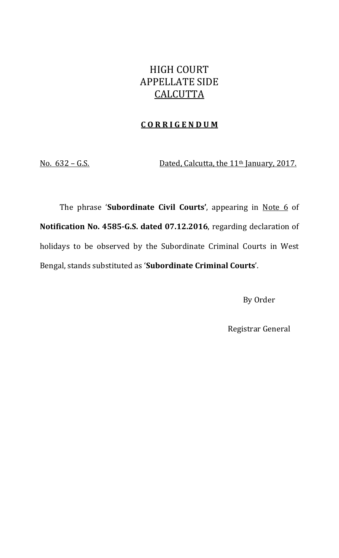## HIGH COURT APPELLATE SIDE **CALCUTTA**

#### **C O R R I G E N D U M**

No.  $632 - G.S.$  Dated, Calcutta, the 11<sup>th</sup> January, 2017.

The phrase '**Subordinate Civil Courts'**, appearing in Note 6 of **Notification No. 4585G.S. dated 07.12.2016**, regarding declaration of holidays to be observed by the Subordinate Criminal Courts in West Bengal, stands substituted as '**Subordinate Criminal Courts**'.

By Order

Registrar General